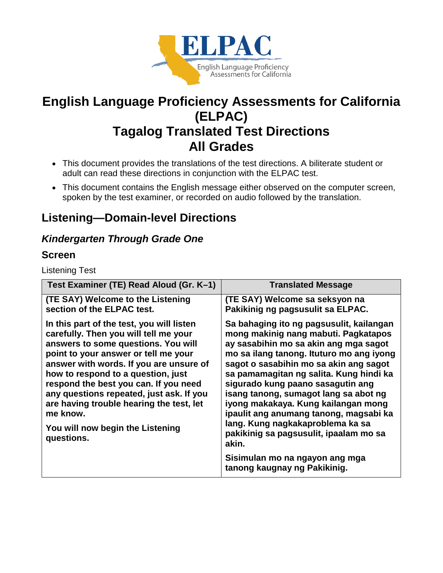

# **English Language Proficiency Assessments for California (ELPAC) Tagalog Translated Test Directions All Grades**

- This document provides the translations of the test directions. A biliterate student or adult can read these directions in conjunction with the ELPAC test.
- This document contains the English message either observed on the computer screen, spoken by the test examiner, or recorded on audio followed by the translation.

# **Listening—Domain-level Directions**

# *Kindergarten Through Grade One*

### **Screen**

Listening Test

| Test Examiner (TE) Read Aloud (Gr. K-1)                                                                                                                                                                                                                                                                                                                                                                                                           | <b>Translated Message</b>                                                                                                                                                                                                                                                                                                                                                                                                                                                                                        |
|---------------------------------------------------------------------------------------------------------------------------------------------------------------------------------------------------------------------------------------------------------------------------------------------------------------------------------------------------------------------------------------------------------------------------------------------------|------------------------------------------------------------------------------------------------------------------------------------------------------------------------------------------------------------------------------------------------------------------------------------------------------------------------------------------------------------------------------------------------------------------------------------------------------------------------------------------------------------------|
| (TE SAY) Welcome to the Listening<br>section of the ELPAC test.                                                                                                                                                                                                                                                                                                                                                                                   | (TE SAY) Welcome sa seksyon na<br>Pakikinig ng pagsusulit sa ELPAC.                                                                                                                                                                                                                                                                                                                                                                                                                                              |
| In this part of the test, you will listen<br>carefully. Then you will tell me your<br>answers to some questions. You will<br>point to your answer or tell me your<br>answer with words. If you are unsure of<br>how to respond to a question, just<br>respond the best you can. If you need<br>any questions repeated, just ask. If you<br>are having trouble hearing the test, let<br>me know.<br>You will now begin the Listening<br>questions. | Sa bahaging ito ng pagsusulit, kailangan<br>mong makinig nang mabuti. Pagkatapos<br>ay sasabihin mo sa akin ang mga sagot<br>mo sa ilang tanong. Ituturo mo ang iyong<br>sagot o sasabihin mo sa akin ang sagot<br>sa pamamagitan ng salita. Kung hindi ka<br>sigurado kung paano sasagutin ang<br>isang tanong, sumagot lang sa abot ng<br>iyong makakaya. Kung kailangan mong<br>ipaulit ang anumang tanong, magsabi ka<br>lang. Kung nagkakaproblema ka sa<br>pakikinig sa pagsusulit, ipaalam mo sa<br>akin. |
|                                                                                                                                                                                                                                                                                                                                                                                                                                                   | Sisimulan mo na ngayon ang mga<br>tanong kaugnay ng Pakikinig.                                                                                                                                                                                                                                                                                                                                                                                                                                                   |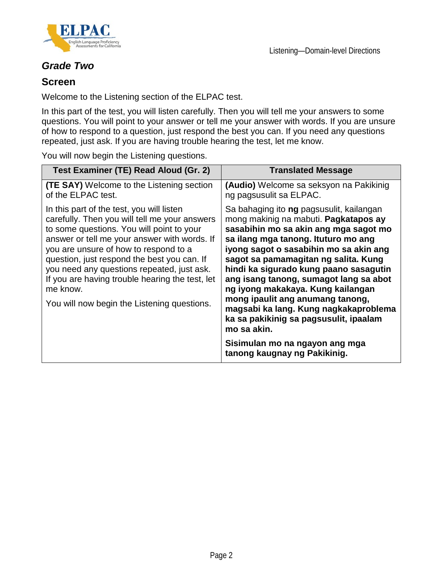



### *Grade Two*

### **Screen**

Welcome to the Listening section of the ELPAC test.

In this part of the test, you will listen carefully. Then you will tell me your answers to some questions. You will point to your answer or tell me your answer with words. If you are unsure of how to respond to a question, just respond the best you can. If you need any questions repeated, just ask. If you are having trouble hearing the test, let me know.

You will now begin the Listening questions.

| Test Examiner (TE) Read Aloud (Gr. 2)                                                                                                                                                                                                                                                                                                                                                                                                       | <b>Translated Message</b>                                                                                                                                                                                                                                                                                                                                                                                                                                                                                          |
|---------------------------------------------------------------------------------------------------------------------------------------------------------------------------------------------------------------------------------------------------------------------------------------------------------------------------------------------------------------------------------------------------------------------------------------------|--------------------------------------------------------------------------------------------------------------------------------------------------------------------------------------------------------------------------------------------------------------------------------------------------------------------------------------------------------------------------------------------------------------------------------------------------------------------------------------------------------------------|
| <b>(TE SAY)</b> Welcome to the Listening section<br>of the ELPAC test.                                                                                                                                                                                                                                                                                                                                                                      | (Audio) Welcome sa seksyon na Pakikinig<br>ng pagsusulit sa ELPAC.                                                                                                                                                                                                                                                                                                                                                                                                                                                 |
| In this part of the test, you will listen<br>carefully. Then you will tell me your answers<br>to some questions. You will point to your<br>answer or tell me your answer with words. If<br>you are unsure of how to respond to a<br>question, just respond the best you can. If<br>you need any questions repeated, just ask.<br>If you are having trouble hearing the test, let<br>me know.<br>You will now begin the Listening questions. | Sa bahaging ito ng pagsusulit, kailangan<br>mong makinig na mabuti. Pagkatapos ay<br>sasabihin mo sa akin ang mga sagot mo<br>sa ilang mga tanong. Ituturo mo ang<br>iyong sagot o sasabihin mo sa akin ang<br>sagot sa pamamagitan ng salita. Kung<br>hindi ka sigurado kung paano sasagutin<br>ang isang tanong, sumagot lang sa abot<br>ng iyong makakaya. Kung kailangan<br>mong ipaulit ang anumang tanong,<br>magsabi ka lang. Kung nagkakaproblema<br>ka sa pakikinig sa pagsusulit, ipaalam<br>mo sa akin. |
|                                                                                                                                                                                                                                                                                                                                                                                                                                             | Sisimulan mo na ngayon ang mga<br>tanong kaugnay ng Pakikinig.                                                                                                                                                                                                                                                                                                                                                                                                                                                     |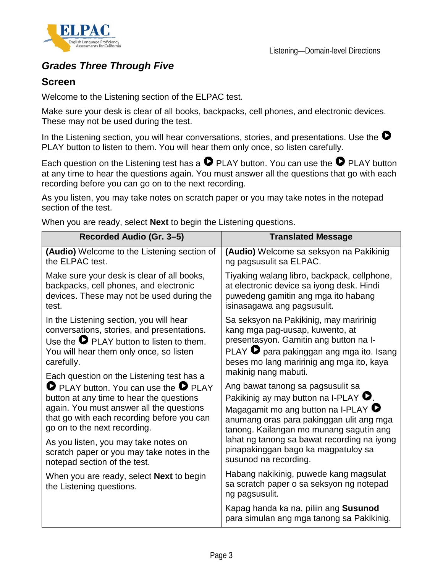



### *Grades Three Through Five*

### **Screen**

Welcome to the Listening section of the ELPAC test.

Make sure your desk is clear of all books, backpacks, cell phones, and electronic devices. These may not be used during the test.

In the Listening section, you will hear conversations, stories, and presentations. Use the  $\bullet$ PLAY button to listen to them. You will hear them only once, so listen carefully.

Each question on the Listening test has a  $\bullet$  PLAY button. You can use the  $\bullet$  PLAY button at any time to hear the questions again. You must answer all the questions that go with each recording before you can go on to the next recording.

As you listen, you may take notes on scratch paper or you may take notes in the notepad section of the test.

When you are ready, select **Next** to begin the Listening questions.

| Recorded Audio (Gr. 3-5)                                                    | <b>Translated Message</b>                                                                            |
|-----------------------------------------------------------------------------|------------------------------------------------------------------------------------------------------|
| (Audio) Welcome to the Listening section of                                 | (Audio) Welcome sa seksyon na Pakikinig                                                              |
| the ELPAC test.                                                             | ng pagsusulit sa ELPAC.                                                                              |
| Make sure your desk is clear of all books,                                  | Tiyaking walang libro, backpack, cellphone,                                                          |
| backpacks, cell phones, and electronic                                      | at electronic device sa iyong desk. Hindi                                                            |
| devices. These may not be used during the                                   | puwedeng gamitin ang mga ito habang                                                                  |
| test.                                                                       | isinasagawa ang pagsusulit.                                                                          |
| In the Listening section, you will hear                                     | Sa seksyon na Pakikinig, may maririnig                                                               |
| conversations, stories, and presentations.                                  | kang mga pag-uusap, kuwento, at                                                                      |
| Use the $\bullet$ PLAY button to listen to them.                            | presentasyon. Gamitin ang button na I-                                                               |
| You will hear them only once, so listen                                     | PLAY <b>D</b> para pakinggan ang mga ito. Isang                                                      |
| carefully.                                                                  | beses mo lang maririnig ang mga ito, kaya                                                            |
| Each question on the Listening test has a                                   | makinig nang mabuti.                                                                                 |
| <b>O</b> PLAY button. You can use the <b>O</b> PLAY                         | Ang bawat tanong sa pagsusulit sa                                                                    |
| button at any time to hear the questions                                    | Pakikinig ay may button na I-PLAY $\bullet$ .                                                        |
| again. You must answer all the questions                                    | Magagamit mo ang button na I-PLAY $\bullet$                                                          |
| that go with each recording before you can                                  | anumang oras para pakinggan ulit ang mga                                                             |
| go on to the next recording.                                                | tanong. Kailangan mo munang sagutin ang                                                              |
| As you listen, you may take notes on                                        | lahat ng tanong sa bawat recording na iyong                                                          |
| scratch paper or you may take notes in the                                  | pinapakinggan bago ka magpatuloy sa                                                                  |
| notepad section of the test.                                                | susunod na recording.                                                                                |
| When you are ready, select <b>Next</b> to begin<br>the Listening questions. | Habang nakikinig, puwede kang magsulat<br>sa scratch paper o sa seksyon ng notepad<br>ng pagsusulit. |
|                                                                             | Kapag handa ka na, piliin ang Susunod<br>para simulan ang mga tanong sa Pakikinig.                   |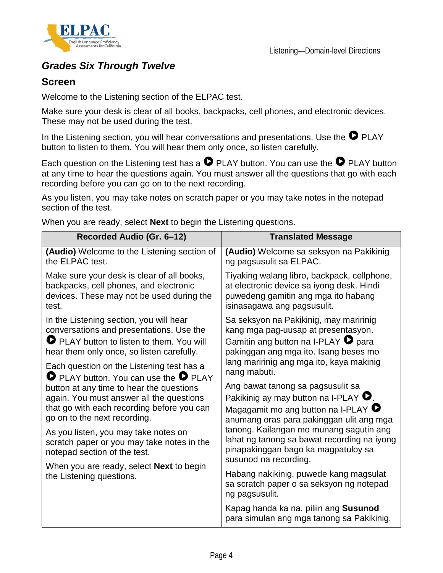



### *Grades Six Through Twelve*

#### **Screen**

Welcome to the Listening section of the ELPAC test.

Make sure your desk is clear of all books, backpacks, cell phones, and electronic devices. These may not be used during the test.

In the Listening section, you will hear conversations and presentations. Use the  $\bullet$  PLAY button to listen to them. You will hear them only once, so listen carefully.

Each question on the Listening test has a  $\bullet$  PLAY button. You can use the  $\bullet$  PLAY button at any time to hear the questions again. You must answer all the questions that go with each recording before you can go on to the next recording.

As you listen, you may take notes on scratch paper or you may take notes in the notepad section of the test.

When you are ready, select **Next** to begin the Listening questions.

| Recorded Audio (Gr. 6-12)                                                                                          | <b>Translated Message</b>                                                                                                                              |
|--------------------------------------------------------------------------------------------------------------------|--------------------------------------------------------------------------------------------------------------------------------------------------------|
| (Audio) Welcome to the Listening section of                                                                        | (Audio) Welcome sa seksyon na Pakikinig                                                                                                                |
| the ELPAC test.                                                                                                    | ng pagsusulit sa ELPAC.                                                                                                                                |
| Make sure your desk is clear of all books,                                                                         | Tiyaking walang libro, backpack, cellphone,                                                                                                            |
| backpacks, cell phones, and electronic                                                                             | at electronic device sa iyong desk. Hindi                                                                                                              |
| devices. These may not be used during the                                                                          | puwedeng gamitin ang mga ito habang                                                                                                                    |
| test.                                                                                                              | isinasagawa ang pagsusulit.                                                                                                                            |
| In the Listening section, you will hear                                                                            | Sa seksyon na Pakikinig, may maririnig                                                                                                                 |
| conversations and presentations. Use the                                                                           | kang mga pag-uusap at presentasyon.                                                                                                                    |
| PLAY button to listen to them. You will                                                                            | Gamitin ang button na I-PLAY $\bullet$ para                                                                                                            |
| hear them only once, so listen carefully.                                                                          | pakinggan ang mga ito. Isang beses mo                                                                                                                  |
| Each question on the Listening test has a                                                                          | lang maririnig ang mga ito, kaya makinig                                                                                                               |
| $\bullet$ PLAY button. You can use the $\bullet$ PLAY                                                              | nang mabuti.                                                                                                                                           |
| button at any time to hear the questions                                                                           | Ang bawat tanong sa pagsusulit sa                                                                                                                      |
| again. You must answer all the questions                                                                           | Pakikinig ay may button na I-PLAY $\bullet$ .                                                                                                          |
| that go with each recording before you can                                                                         | Magagamit mo ang button na I-PLAY $\bullet$                                                                                                            |
| go on to the next recording.                                                                                       | anumang oras para pakinggan ulit ang mga                                                                                                               |
| As you listen, you may take notes on<br>scratch paper or you may take notes in the<br>notepad section of the test. | tanong. Kailangan mo munang sagutin ang<br>lahat ng tanong sa bawat recording na iyong<br>pinapakinggan bago ka magpatuloy sa<br>susunod na recording. |
| When you are ready, select <b>Next</b> to begin<br>the Listening questions.                                        | Habang nakikinig, puwede kang magsulat<br>sa scratch paper o sa seksyon ng notepad<br>ng pagsusulit.                                                   |
|                                                                                                                    | Kapag handa ka na, piliin ang Susunod<br>para simulan ang mga tanong sa Pakikinig.                                                                     |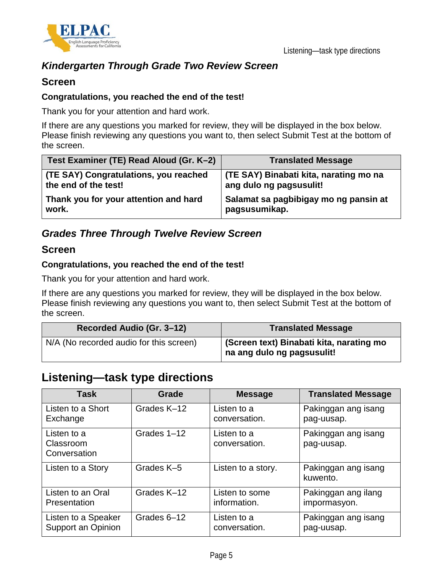

### *Kindergarten Through Grade Two Review Screen*

#### **Screen**

#### **Congratulations, you reached the end of the test!**

Thank you for your attention and hard work.

If there are any questions you marked for review, they will be displayed in the box below. Please finish reviewing any questions you want to, then select Submit Test at the bottom of the screen.

| Test Examiner (TE) Read Aloud (Gr. K-2) | <b>Translated Message</b>              |
|-----------------------------------------|----------------------------------------|
| (TE SAY) Congratulations, you reached   | (TE SAY) Binabati kita, narating mo na |
| the end of the test!                    | ang dulo ng pagsusulit!                |
| Thank you for your attention and hard   | Salamat sa pagbibigay mo ng pansin at  |
| work.                                   | pagsusumikap.                          |

### *Grades Three Through Twelve Review Screen*

#### **Screen**

#### **Congratulations, you reached the end of the test!**

Thank you for your attention and hard work.

If there are any questions you marked for review, they will be displayed in the box below. Please finish reviewing any questions you want to, then select Submit Test at the bottom of the screen.

| Recorded Audio (Gr. 3-12)               | <b>Translated Message</b>                                              |
|-----------------------------------------|------------------------------------------------------------------------|
| N/A (No recorded audio for this screen) | (Screen text) Binabati kita, narating mo<br>na ang dulo ng pagsusulit! |

### **Listening—task type directions**

| <b>Task</b>                              | <b>Grade</b> | <b>Message</b>               | <b>Translated Message</b>         |
|------------------------------------------|--------------|------------------------------|-----------------------------------|
| Listen to a Short                        | Grades K-12  | Listen to a                  | Pakinggan ang isang               |
| Exchange                                 |              | conversation.                | pag-uusap.                        |
| Listen to a<br>Classroom<br>Conversation | Grades 1-12  | Listen to a<br>conversation. | Pakinggan ang isang<br>pag-uusap. |
| Listen to a Story                        | Grades K-5   | Listen to a story.           | Pakinggan ang isang<br>kuwento.   |
| Listen to an Oral                        | Grades K-12  | Listen to some               | Pakinggan ang ilang               |
| Presentation                             |              | information.                 | impormasyon.                      |
| Listen to a Speaker                      | Grades 6-12  | Listen to a                  | Pakinggan ang isang               |
| Support an Opinion                       |              | conversation.                | pag-uusap.                        |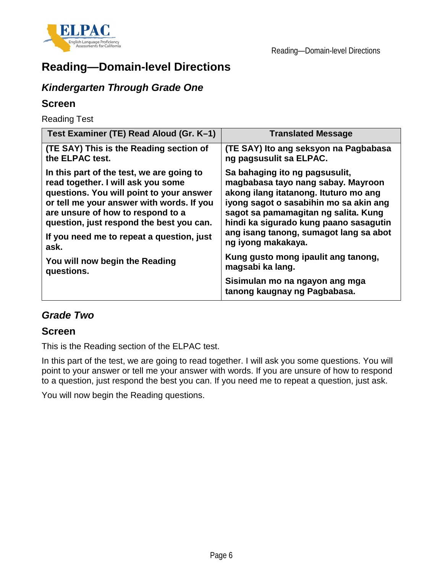



# **Reading—Domain-level Directions**

### *Kindergarten Through Grade One*

### **Screen**

Reading Test

| Test Examiner (TE) Read Aloud (Gr. K-1)   | <b>Translated Message</b>                                      |
|-------------------------------------------|----------------------------------------------------------------|
| (TE SAY) This is the Reading section of   | (TE SAY) Ito ang seksyon na Pagbabasa                          |
| the ELPAC test.                           | ng pagsusulit sa ELPAC.                                        |
| In this part of the test, we are going to | Sa bahaging ito ng pagsusulit,                                 |
| read together. I will ask you some        | magbabasa tayo nang sabay. Mayroon                             |
| questions. You will point to your answer  | akong ilang itatanong. Ituturo mo ang                          |
| or tell me your answer with words. If you | iyong sagot o sasabihin mo sa akin ang                         |
| are unsure of how to respond to a         | sagot sa pamamagitan ng salita. Kung                           |
| question, just respond the best you can.  | hindi ka sigurado kung paano sasagutin                         |
| If you need me to repeat a question, just | ang isang tanong, sumagot lang sa abot                         |
| ask.                                      | ng iyong makakaya.                                             |
| You will now begin the Reading            | Kung gusto mong ipaulit ang tanong,                            |
| questions.                                | magsabi ka lang.                                               |
|                                           | Sisimulan mo na ngayon ang mga<br>tanong kaugnay ng Pagbabasa. |

### *Grade Two*

### **Screen**

This is the Reading section of the ELPAC test.

In this part of the test, we are going to read together. I will ask you some questions. You will point to your answer or tell me your answer with words. If you are unsure of how to respond to a question, just respond the best you can. If you need me to repeat a question, just ask.

You will now begin the Reading questions.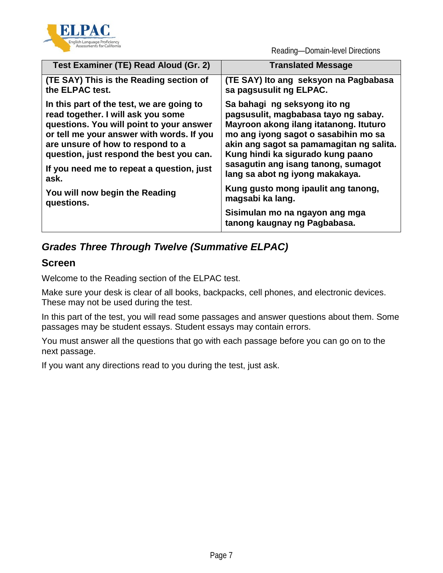

Reading—Domain-level Directions

| Test Examiner (TE) Read Aloud (Gr. 2)     | <b>Translated Message</b>                                      |
|-------------------------------------------|----------------------------------------------------------------|
| (TE SAY) This is the Reading section of   | (TE SAY) Ito ang seksyon na Pagbabasa                          |
| the ELPAC test.                           | sa pagsusulit ng ELPAC.                                        |
| In this part of the test, we are going to | Sa bahagi ng seksyong ito ng                                   |
| read together. I will ask you some        | pagsusulit, magbabasa tayo ng sabay.                           |
| questions. You will point to your answer  | Mayroon akong ilang itatanong. Ituturo                         |
| or tell me your answer with words. If you | mo ang iyong sagot o sasabihin mo sa                           |
| are unsure of how to respond to a         | akin ang sagot sa pamamagitan ng salita.                       |
| question, just respond the best you can.  | Kung hindi ka sigurado kung paano                              |
| If you need me to repeat a question, just | sasagutin ang isang tanong, sumagot                            |
| ask.                                      | lang sa abot ng iyong makakaya.                                |
| You will now begin the Reading            | Kung gusto mong ipaulit ang tanong,                            |
| questions.                                | magsabi ka lang.                                               |
|                                           | Sisimulan mo na ngayon ang mga<br>tanong kaugnay ng Pagbabasa. |

## *Grades Three Through Twelve (Summative ELPAC)*

### **Screen**

Welcome to the Reading section of the ELPAC test.

Make sure your desk is clear of all books, backpacks, cell phones, and electronic devices. These may not be used during the test.

In this part of the test, you will read some passages and answer questions about them. Some passages may be student essays. Student essays may contain errors.

You must answer all the questions that go with each passage before you can go on to the next passage.

If you want any directions read to you during the test, just ask.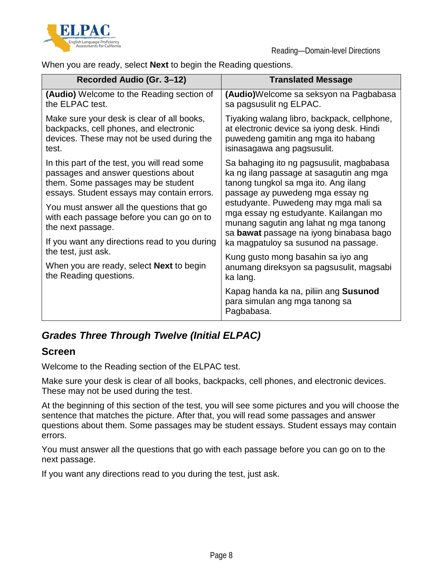



When you are ready, select **Next** to begin the Reading questions.

| Recorded Audio (Gr. 3-12)                                                                                                                                                                                                                                                                                                               | <b>Translated Message</b>                                                                                                                                                                                                                                                                                                                                                      |
|-----------------------------------------------------------------------------------------------------------------------------------------------------------------------------------------------------------------------------------------------------------------------------------------------------------------------------------------|--------------------------------------------------------------------------------------------------------------------------------------------------------------------------------------------------------------------------------------------------------------------------------------------------------------------------------------------------------------------------------|
| (Audio) Welcome to the Reading section of                                                                                                                                                                                                                                                                                               | (Audio)Welcome sa seksyon na Pagbabasa                                                                                                                                                                                                                                                                                                                                         |
| the ELPAC test.                                                                                                                                                                                                                                                                                                                         | sa pagsusulit ng ELPAC.                                                                                                                                                                                                                                                                                                                                                        |
| Make sure your desk is clear of all books,                                                                                                                                                                                                                                                                                              | Tiyaking walang libro, backpack, cellphone,                                                                                                                                                                                                                                                                                                                                    |
| backpacks, cell phones, and electronic                                                                                                                                                                                                                                                                                                  | at electronic device sa iyong desk. Hindi                                                                                                                                                                                                                                                                                                                                      |
| devices. These may not be used during the                                                                                                                                                                                                                                                                                               | puwedeng gamitin ang mga ito habang                                                                                                                                                                                                                                                                                                                                            |
| test.                                                                                                                                                                                                                                                                                                                                   | isinasagawa ang pagsusulit.                                                                                                                                                                                                                                                                                                                                                    |
| In this part of the test, you will read some<br>passages and answer questions about<br>them. Some passages may be student<br>essays. Student essays may contain errors.<br>You must answer all the questions that go<br>with each passage before you can go on to<br>the next passage.<br>If you want any directions read to you during | Sa bahaging ito ng pagsusulit, magbabasa<br>ka ng ilang passage at sasagutin ang mga<br>tanong tungkol sa mga ito. Ang ilang<br>passage ay puwedeng mga essay ng<br>estudyante. Puwedeng may mga mali sa<br>mga essay ng estudyante. Kailangan mo<br>munang sagutin ang lahat ng mga tanong<br>sa bawat passage na iyong binabasa bago<br>ka magpatuloy sa susunod na passage. |
| the test, just ask.                                                                                                                                                                                                                                                                                                                     | Kung gusto mong basahin sa iyo ang                                                                                                                                                                                                                                                                                                                                             |
| When you are ready, select <b>Next</b> to begin                                                                                                                                                                                                                                                                                         | anumang direksyon sa pagsusulit, magsabi                                                                                                                                                                                                                                                                                                                                       |
| the Reading questions.                                                                                                                                                                                                                                                                                                                  | ka lang.                                                                                                                                                                                                                                                                                                                                                                       |
|                                                                                                                                                                                                                                                                                                                                         | Kapag handa ka na, piliin ang Susunod<br>para simulan ang mga tanong sa<br>Pagbabasa.                                                                                                                                                                                                                                                                                          |

### *Grades Three Through Twelve (Initial ELPAC)*

### **Screen**

Welcome to the Reading section of the ELPAC test.

Make sure your desk is clear of all books, backpacks, cell phones, and electronic devices. These may not be used during the test.

At the beginning of this section of the test, you will see some pictures and you will choose the sentence that matches the picture. After that, you will read some passages and answer questions about them. Some passages may be student essays. Student essays may contain errors.

You must answer all the questions that go with each passage before you can go on to the next passage.

If you want any directions read to you during the test, just ask.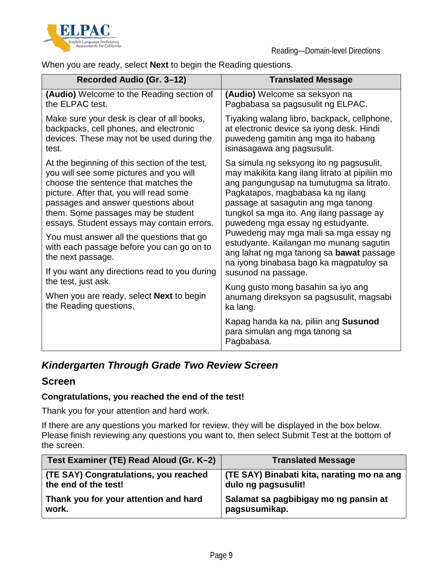



When you are ready, select **Next** to begin the Reading questions.

| Recorded Audio (Gr. 3-12)                                          | <b>Translated Message</b>                                                                                         |
|--------------------------------------------------------------------|-------------------------------------------------------------------------------------------------------------------|
| (Audio) Welcome to the Reading section of                          | (Audio) Welcome sa seksyon na                                                                                     |
| the ELPAC test.                                                    | Pagbabasa sa pagsusulit ng ELPAC.                                                                                 |
| Make sure your desk is clear of all books,                         | Tiyaking walang libro, backpack, cellphone,                                                                       |
| backpacks, cell phones, and electronic                             | at electronic device sa iyong desk. Hindi                                                                         |
| devices. These may not be used during the                          | puwedeng gamitin ang mga ito habang                                                                               |
| test.                                                              | isinasagawa ang pagsusulit.                                                                                       |
| At the beginning of this section of the test,                      | Sa simula ng seksyong ito ng pagsusulit,                                                                          |
| you will see some pictures and you will                            | may makikita kang ilang litrato at pipiliin mo                                                                    |
| choose the sentence that matches the                               | ang pangungusap na tumutugma sa litrato.                                                                          |
| picture. After that, you will read some                            | Pagkatapos, magbabasa ka ng ilang                                                                                 |
| passages and answer questions about                                | passage at sasagutin ang mga tanong                                                                               |
| them. Some passages may be student                                 | tungkol sa mga ito. Ang ilang passage ay                                                                          |
| essays. Student essays may contain errors.                         | puwedeng mga essay ng estudyante.                                                                                 |
| You must answer all the questions that go                          | Puwedeng may mga mali sa mga essay ng                                                                             |
| with each passage before you can go on to                          | estudyante. Kailangan mo munang sagutin                                                                           |
| the next passage.<br>If you want any directions read to you during | ang lahat ng mga tanong sa <b>bawat</b> passage<br>na iyong binabasa bago ka magpatuloy sa<br>susunod na passage. |
| the test, just ask.                                                | Kung gusto mong basahin sa iyo ang                                                                                |
| When you are ready, select Next to begin                           | anumang direksyon sa pagsusulit, magsabi                                                                          |
| the Reading questions.                                             | ka lang.                                                                                                          |
|                                                                    | Kapag handa ka na, piliin ang Susunod<br>para simulan ang mga tanong sa<br>Pagbabasa.                             |

### *Kindergarten Through Grade Two Review Screen*

### **Screen**

#### **Congratulations, you reached the end of the test!**

Thank you for your attention and hard work.

If there are any questions you marked for review, they will be displayed in the box below. Please finish reviewing any questions you want to, then select Submit Test at the bottom of the screen.

| Test Examiner (TE) Read Aloud (Gr. K-2) | <b>Translated Message</b>                  |
|-----------------------------------------|--------------------------------------------|
| (TE SAY) Congratulations, you reached   | (TE SAY) Binabati kita, narating mo na ang |
| the end of the test!                    | dulo ng pagsusulit!                        |
| Thank you for your attention and hard   | Salamat sa pagbibigay mo ng pansin at      |
| work.                                   | pagsusumikap.                              |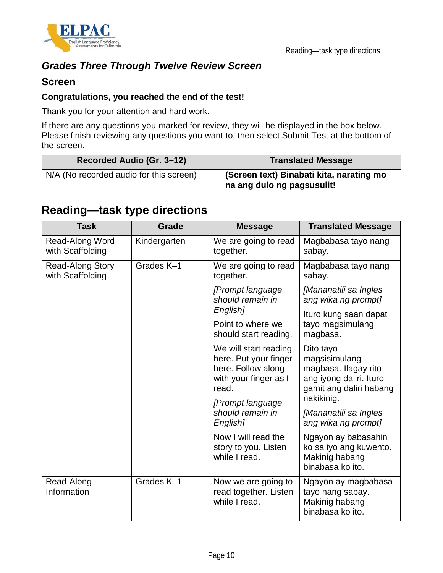

### *Grades Three Through Twelve Review Screen*

### **Screen**

#### **Congratulations, you reached the end of the test!**

Thank you for your attention and hard work.

If there are any questions you marked for review, they will be displayed in the box below. Please finish reviewing any questions you want to, then select Submit Test at the bottom of the screen.

| Recorded Audio (Gr. 3-12)               | <b>Translated Message</b>                                              |
|-----------------------------------------|------------------------------------------------------------------------|
| N/A (No recorded audio for this screen) | (Screen text) Binabati kita, narating mo<br>na ang dulo ng pagsusulit! |

# **Reading—task type directions**

| <b>Task</b>                                 | <b>Grade</b> | <b>Message</b>                                                                                         | <b>Translated Message</b>                                                                                              |
|---------------------------------------------|--------------|--------------------------------------------------------------------------------------------------------|------------------------------------------------------------------------------------------------------------------------|
| Read-Along Word<br>with Scaffolding         | Kindergarten | We are going to read<br>together.                                                                      | Magbabasa tayo nang<br>sabay.                                                                                          |
| <b>Read-Along Story</b><br>with Scaffolding | Grades K-1   | We are going to read<br>together.                                                                      | Magbabasa tayo nang<br>sabay.                                                                                          |
|                                             |              | [Prompt language<br>should remain in                                                                   | [Mananatili sa Ingles<br>ang wika ng prompt]                                                                           |
|                                             |              | English]                                                                                               | Ituro kung saan dapat                                                                                                  |
|                                             |              | Point to where we<br>should start reading.                                                             | tayo magsimulang<br>magbasa.                                                                                           |
|                                             |              | We will start reading<br>here. Put your finger<br>here. Follow along<br>with your finger as I<br>read. | Dito tayo<br>magsisimulang<br>magbasa. Ilagay rito<br>ang iyong daliri. Ituro<br>gamit ang daliri habang<br>nakikinig. |
|                                             |              | [Prompt language<br>should remain in<br>English]                                                       | [Mananatili sa Ingles<br>ang wika ng prompt]                                                                           |
|                                             |              | Now I will read the<br>story to you. Listen<br>while I read.                                           | Ngayon ay babasahin<br>ko sa iyo ang kuwento.<br>Makinig habang<br>binabasa ko ito.                                    |
| Read-Along<br>Information                   | Grades K-1   | Now we are going to<br>read together. Listen<br>while I read.                                          | Ngayon ay magbabasa<br>tayo nang sabay.<br>Makinig habang<br>binabasa ko ito.                                          |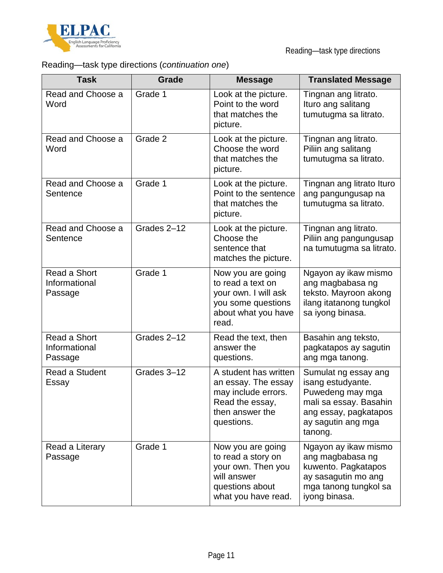

# Reading—task type directions (*continuation one*)

| <b>Task</b>                              | Grade       | <b>Message</b>                                                                                                          | <b>Translated Message</b>                                                                                                                         |
|------------------------------------------|-------------|-------------------------------------------------------------------------------------------------------------------------|---------------------------------------------------------------------------------------------------------------------------------------------------|
| Read and Choose a<br>Word                | Grade 1     | Look at the picture.<br>Point to the word<br>that matches the<br>picture.                                               | Tingnan ang litrato.<br>Ituro ang salitang<br>tumutugma sa litrato.                                                                               |
| Read and Choose a<br>Word                | Grade 2     | Look at the picture.<br>Choose the word<br>that matches the<br>picture.                                                 | Tingnan ang litrato.<br>Piliin ang salitang<br>tumutugma sa litrato.                                                                              |
| Read and Choose a<br>Sentence            | Grade 1     | Look at the picture.<br>Point to the sentence<br>that matches the<br>picture.                                           | Tingnan ang litrato Ituro<br>ang pangungusap na<br>tumutugma sa litrato.                                                                          |
| Read and Choose a<br>Sentence            | Grades 2-12 | Look at the picture.<br>Choose the<br>sentence that<br>matches the picture.                                             | Tingnan ang litrato.<br>Piliin ang pangungusap<br>na tumutugma sa litrato.                                                                        |
| Read a Short<br>Informational<br>Passage | Grade 1     | Now you are going<br>to read a text on<br>your own. I will ask<br>you some questions<br>about what you have<br>read.    | Ngayon ay ikaw mismo<br>ang magbabasa ng<br>teksto. Mayroon akong<br>ilang itatanong tungkol<br>sa iyong binasa.                                  |
| Read a Short<br>Informational<br>Passage | Grades 2-12 | Read the text, then<br>answer the<br>questions.                                                                         | Basahin ang teksto,<br>pagkatapos ay sagutin<br>ang mga tanong.                                                                                   |
| Read a Student<br>Essay                  | Grades 3-12 | A student has written<br>an essay. The essay<br>may include errors.<br>Read the essay,<br>then answer the<br>questions. | Sumulat ng essay ang<br>isang estudyante.<br>Puwedeng may mga<br>mali sa essay. Basahin<br>ang essay, pagkatapos<br>ay sagutin ang mga<br>tanong. |
| Read a Literary<br>Passage               | Grade 1     | Now you are going<br>to read a story on<br>your own. Then you<br>will answer<br>questions about<br>what you have read.  | Ngayon ay ikaw mismo<br>ang magbabasa ng<br>kuwento. Pagkatapos<br>ay sasagutin mo ang<br>mga tanong tungkol sa<br>iyong binasa.                  |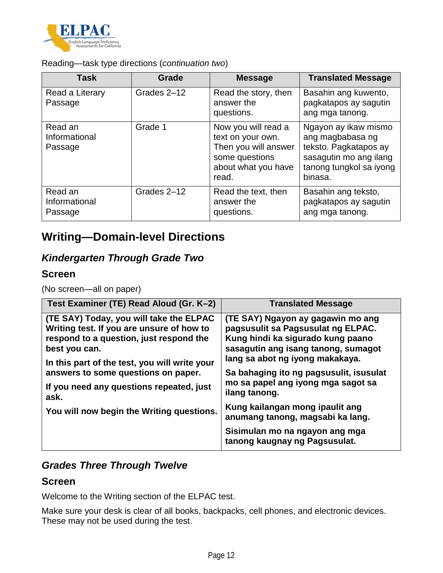

Reading—task type directions (*continuation two*)

| <b>Task</b>                         | <b>Grade</b> | <b>Message</b>                                                                                                     | <b>Translated Message</b>                                                                                                         |
|-------------------------------------|--------------|--------------------------------------------------------------------------------------------------------------------|-----------------------------------------------------------------------------------------------------------------------------------|
| Read a Literary<br>Passage          | Grades 2-12  | Read the story, then<br>answer the<br>questions.                                                                   | Basahin ang kuwento,<br>pagkatapos ay sagutin<br>ang mga tanong.                                                                  |
| Read an<br>Informational<br>Passage | Grade 1      | Now you will read a<br>text on your own.<br>Then you will answer<br>some questions<br>about what you have<br>read. | Ngayon ay ikaw mismo<br>ang magbabasa ng<br>teksto. Pagkatapos ay<br>sasagutin mo ang ilang<br>tanong tungkol sa iyong<br>binasa. |
| Read an<br>Informational<br>Passage | Grades 2-12  | Read the text, then<br>answer the<br>questions.                                                                    | Basahin ang teksto,<br>pagkatapos ay sagutin<br>ang mga tanong.                                                                   |

# **Writing—Domain-level Directions**

# *Kindergarten Through Grade Two*

### **Screen**

(No screen—all on paper)

| Test Examiner (TE) Read Aloud (Gr. K-2)                                                                                                                                                           | <b>Translated Message</b>                                                                                                                                                              |
|---------------------------------------------------------------------------------------------------------------------------------------------------------------------------------------------------|----------------------------------------------------------------------------------------------------------------------------------------------------------------------------------------|
| (TE SAY) Today, you will take the ELPAC<br>Writing test. If you are unsure of how to<br>respond to a question, just respond the<br>best you can.<br>In this part of the test, you will write your | (TE SAY) Ngayon ay gagawin mo ang<br>pagsusulit sa Pagsusulat ng ELPAC.<br>Kung hindi ka sigurado kung paano<br>sasagutin ang isang tanong, sumagot<br>lang sa abot ng iyong makakaya. |
| answers to some questions on paper.<br>If you need any questions repeated, just<br>ask.                                                                                                           | Sa bahaging ito ng pagsusulit, isusulat<br>mo sa papel ang iyong mga sagot sa<br>ilang tanong.                                                                                         |
| You will now begin the Writing questions.                                                                                                                                                         | Kung kailangan mong ipaulit ang<br>anumang tanong, magsabi ka lang.                                                                                                                    |
|                                                                                                                                                                                                   | Sisimulan mo na ngayon ang mga<br>tanong kaugnay ng Pagsusulat.                                                                                                                        |

### *Grades Three Through Twelve*

### **Screen**

Welcome to the Writing section of the ELPAC test.

Make sure your desk is clear of all books, backpacks, cell phones, and electronic devices. These may not be used during the test.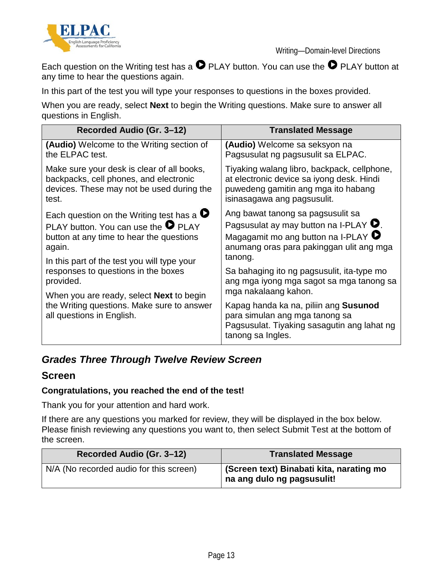



Each question on the Writing test has a  $\bullet$  PLAY button. You can use the  $\bullet$  PLAY button at any time to hear the questions again.

In this part of the test you will type your responses to questions in the boxes provided.

When you are ready, select **Next** to begin the Writing questions. Make sure to answer all questions in English.

| Recorded Audio (Gr. 3-12)                                                                                                                                                      | <b>Translated Message</b>                                                                                                                   |
|--------------------------------------------------------------------------------------------------------------------------------------------------------------------------------|---------------------------------------------------------------------------------------------------------------------------------------------|
| <b>(Audio)</b> Welcome to the Writing section of                                                                                                                               | (Audio) Welcome sa seksyon na                                                                                                               |
| the ELPAC test.                                                                                                                                                                | Pagsusulat ng pagsusulit sa ELPAC.                                                                                                          |
| Make sure your desk is clear of all books,                                                                                                                                     | Tiyaking walang libro, backpack, cellphone,                                                                                                 |
| backpacks, cell phones, and electronic                                                                                                                                         | at electronic device sa iyong desk. Hindi                                                                                                   |
| devices. These may not be used during the                                                                                                                                      | puwedeng gamitin ang mga ito habang                                                                                                         |
| test.                                                                                                                                                                          | isinasagawa ang pagsusulit.                                                                                                                 |
| Each question on the Writing test has a $\bullet$                                                                                                                              | Ang bawat tanong sa pagsusulit sa                                                                                                           |
| PLAY button. You can use the $\bullet$ PLAY                                                                                                                                    | Pagsusulat ay may button na I-PLAY $\bullet$ .                                                                                              |
| button at any time to hear the questions                                                                                                                                       | Magagamit mo ang button na I-PLAY $\bullet$                                                                                                 |
| again.                                                                                                                                                                         | anumang oras para pakinggan ulit ang mga                                                                                                    |
| In this part of the test you will type your                                                                                                                                    | tanong.                                                                                                                                     |
| responses to questions in the boxes<br>provided.<br>When you are ready, select <b>Next</b> to begin<br>the Writing questions. Make sure to answer<br>all questions in English. | Sa bahaging ito ng pagsusulit, ita-type mo<br>ang mga iyong mga sagot sa mga tanong sa<br>mga nakalaang kahon.                              |
|                                                                                                                                                                                | Kapag handa ka na, piliin ang Susunod<br>para simulan ang mga tanong sa<br>Pagsusulat. Tiyaking sasagutin ang lahat ng<br>tanong sa Ingles. |

### *Grades Three Through Twelve Review Screen*

### **Screen**

#### **Congratulations, you reached the end of the test!**

Thank you for your attention and hard work.

If there are any questions you marked for review, they will be displayed in the box below. Please finish reviewing any questions you want to, then select Submit Test at the bottom of the screen.

| Recorded Audio (Gr. 3-12)               | <b>Translated Message</b>                                              |
|-----------------------------------------|------------------------------------------------------------------------|
| N/A (No recorded audio for this screen) | (Screen text) Binabati kita, narating mo<br>na ang dulo ng pagsusulit! |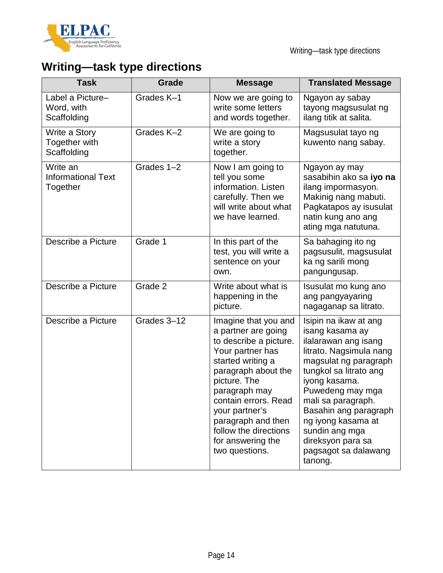

# **Writing—task type directions**

| <b>Task</b>                                       | Grade       | <b>Message</b>                                                                                                                                                                                                                                                                                         | <b>Translated Message</b>                                                                                                                                                                                                                                                                                                          |
|---------------------------------------------------|-------------|--------------------------------------------------------------------------------------------------------------------------------------------------------------------------------------------------------------------------------------------------------------------------------------------------------|------------------------------------------------------------------------------------------------------------------------------------------------------------------------------------------------------------------------------------------------------------------------------------------------------------------------------------|
| Label a Picture-<br>Word, with<br>Scaffolding     | Grades K-1  | Now we are going to<br>write some letters<br>and words together.                                                                                                                                                                                                                                       | Ngayon ay sabay<br>tayong magsusulat ng<br>ilang titik at salita.                                                                                                                                                                                                                                                                  |
| Write a Story<br>Together with<br>Scaffolding     | Grades K-2  | We are going to<br>write a story<br>together.                                                                                                                                                                                                                                                          | Magsusulat tayo ng<br>kuwento nang sabay.                                                                                                                                                                                                                                                                                          |
| Write an<br><b>Informational Text</b><br>Together | Grades 1-2  | Now I am going to<br>tell you some<br>information. Listen<br>carefully. Then we<br>will write about what<br>we have learned.                                                                                                                                                                           | Ngayon ay may<br>sasabihin ako sa iyo na<br>ilang impormasyon.<br>Makinig nang mabuti.<br>Pagkatapos ay isusulat<br>natin kung ano ang<br>ating mga natutuna.                                                                                                                                                                      |
| Describe a Picture                                | Grade 1     | In this part of the<br>test, you will write a<br>sentence on your<br>own.                                                                                                                                                                                                                              | Sa bahaging ito ng<br>pagsusulit, magsusulat<br>ka ng sarili mong<br>pangungusap.                                                                                                                                                                                                                                                  |
| Describe a Picture                                | Grade 2     | Write about what is<br>happening in the<br>picture.                                                                                                                                                                                                                                                    | Isusulat mo kung ano<br>ang pangyayaring<br>nagaganap sa litrato.                                                                                                                                                                                                                                                                  |
| Describe a Picture                                | Grades 3-12 | Imagine that you and<br>a partner are going<br>to describe a picture.<br>Your partner has<br>started writing a<br>paragraph about the<br>picture. The<br>paragraph may<br>contain errors. Read<br>your partner's<br>paragraph and then<br>follow the directions<br>for answering the<br>two questions. | Isipin na ikaw at ang<br>isang kasama ay<br>ilalarawan ang isang<br>litrato. Nagsimula nang<br>magsulat ng paragraph<br>tungkol sa litrato ang<br>iyong kasama.<br>Puwedeng may mga<br>mali sa paragraph.<br>Basahin ang paragraph<br>ng iyong kasama at<br>sundin ang mga<br>direksyon para sa<br>pagsagot sa dalawang<br>tanong. |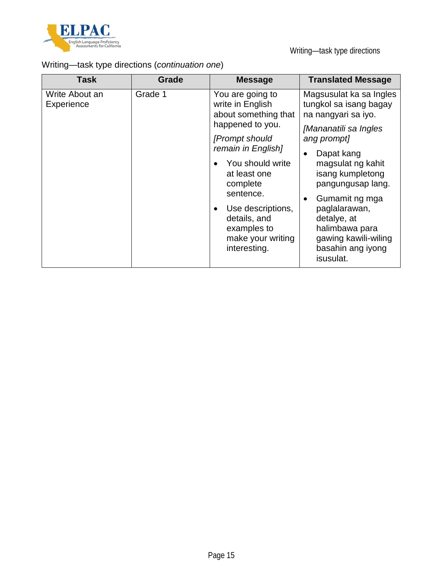

# Writing—task type directions (*continuation one*)

| Task                         | Grade                                            | <b>Message</b>                                                                                                                                                                                                              | <b>Translated Message</b>                                                                                                                                                                                                                      |
|------------------------------|--------------------------------------------------|-----------------------------------------------------------------------------------------------------------------------------------------------------------------------------------------------------------------------------|------------------------------------------------------------------------------------------------------------------------------------------------------------------------------------------------------------------------------------------------|
| Write About an<br>Experience | Grade 1                                          | You are going to<br>write in English<br>about something that<br>happened to you.<br>[Prompt should]<br>remain in English]<br>You should write<br>at least one<br>complete<br>sentence.<br>Use descriptions,<br>details, and | Magsusulat ka sa Ingles<br>tungkol sa isang bagay<br>na nangyari sa iyo.<br>[Mananatili sa Ingles<br>ang prompt]<br>Dapat kang<br>magsulat ng kahit<br>isang kumpletong<br>pangungusap lang.<br>Gumamit ng mga<br>paglalarawan,<br>detalye, at |
|                              | examples to<br>make your writing<br>interesting. | halimbawa para<br>gawing kawili-wiling<br>basahin ang iyong<br>isusulat.                                                                                                                                                    |                                                                                                                                                                                                                                                |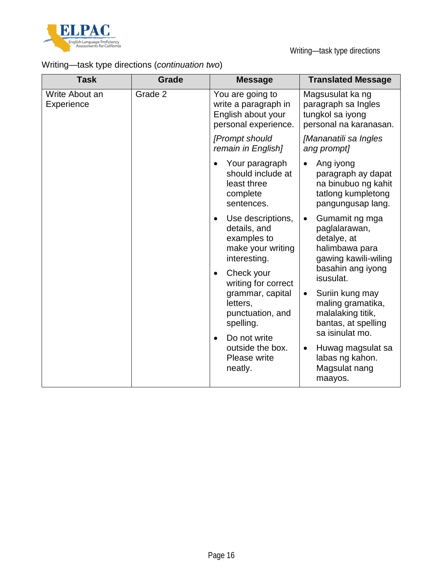

# Writing—task type directions (*continuation two*)

| <b>Task</b>                  | Grade                                                                                                                                   | <b>Message</b>                                                                                | <b>Translated Message</b>                                                                         |
|------------------------------|-----------------------------------------------------------------------------------------------------------------------------------------|-----------------------------------------------------------------------------------------------|---------------------------------------------------------------------------------------------------|
| Write About an<br>Experience | Grade 2                                                                                                                                 | You are going to<br>write a paragraph in<br>English about your<br>personal experience.        | Magsusulat ka ng<br>paragraph sa Ingles<br>tungkol sa iyong<br>personal na karanasan.             |
|                              |                                                                                                                                         | [Prompt should<br>remain in English]                                                          | [Mananatili sa Ingles<br>ang prompt]                                                              |
|                              |                                                                                                                                         | Your paragraph<br>should include at<br>least three<br>complete<br>sentences.                  | Ang iyong<br>paragraph ay dapat<br>na binubuo ng kahit<br>tatlong kumpletong<br>pangungusap lang. |
|                              | Use descriptions,<br>details, and<br>examples to<br>make your writing<br>interesting.<br>Check your<br>$\bullet$<br>writing for correct |                                                                                               | Gumamit ng mga<br>paglalarawan,<br>detalye, at<br>halimbawa para<br>gawing kawili-wiling          |
|                              |                                                                                                                                         |                                                                                               | basahin ang iyong<br>isusulat.                                                                    |
|                              | grammar, capital<br>letters,<br>punctuation, and<br>spelling.                                                                           | Suriin kung may<br>$\bullet$<br>maling gramatika,<br>malalaking titik,<br>bantas, at spelling |                                                                                                   |
|                              |                                                                                                                                         |                                                                                               | Do not write<br>$\bullet$<br>outside the box.<br>Please write<br>neatly.                          |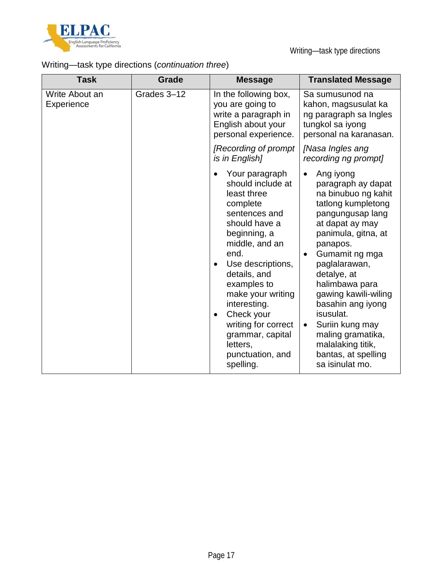

# Writing—task type directions (*continuation three*)

| <b>Task</b>                  | <b>Grade</b> | <b>Message</b>                                                                                                                                                                                                                                                                                                                                         | <b>Translated Message</b>                                                                                                                                                                                                                                                                                                                                                                                |
|------------------------------|--------------|--------------------------------------------------------------------------------------------------------------------------------------------------------------------------------------------------------------------------------------------------------------------------------------------------------------------------------------------------------|----------------------------------------------------------------------------------------------------------------------------------------------------------------------------------------------------------------------------------------------------------------------------------------------------------------------------------------------------------------------------------------------------------|
| Write About an<br>Experience | Grades 3-12  | In the following box,<br>you are going to<br>write a paragraph in<br>English about your<br>personal experience.                                                                                                                                                                                                                                        | Sa sumusunod na<br>kahon, magsusulat ka<br>ng paragraph sa Ingles<br>tungkol sa iyong<br>personal na karanasan.                                                                                                                                                                                                                                                                                          |
|                              |              | [Recording of prompt<br>is in English]                                                                                                                                                                                                                                                                                                                 | [Nasa Ingles ang<br>recording ng prompt]                                                                                                                                                                                                                                                                                                                                                                 |
|                              |              | Your paragraph<br>should include at<br>least three<br>complete<br>sentences and<br>should have a<br>beginning, a<br>middle, and an<br>end.<br>Use descriptions,<br>details, and<br>examples to<br>make your writing<br>interesting.<br>Check your<br>$\bullet$<br>writing for correct<br>grammar, capital<br>letters,<br>punctuation, and<br>spelling. | Ang iyong<br>paragraph ay dapat<br>na binubuo ng kahit<br>tatlong kumpletong<br>pangungusap lang<br>at dapat ay may<br>panimula, gitna, at<br>panapos.<br>Gumamit ng mga<br>paglalarawan,<br>detalye, at<br>halimbawa para<br>gawing kawili-wiling<br>basahin ang iyong<br>isusulat.<br>Suriin kung may<br>$\bullet$<br>maling gramatika,<br>malalaking titik,<br>bantas, at spelling<br>sa isinulat mo. |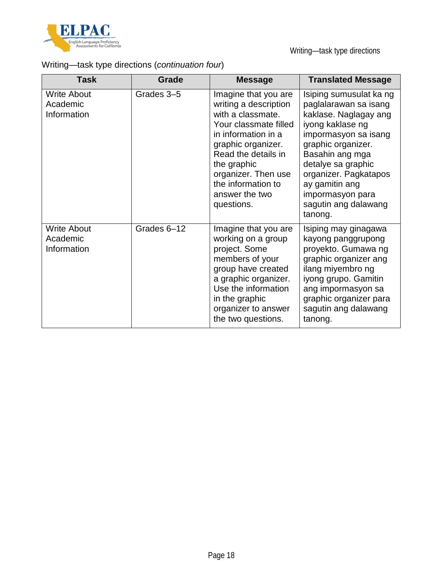

# Writing—task type directions (*continuation four*)

| <b>Task</b>                                   | Grade       | <b>Message</b>                                                                                                                                                                                                                                              | <b>Translated Message</b>                                                                                                                                                                                                                                                              |
|-----------------------------------------------|-------------|-------------------------------------------------------------------------------------------------------------------------------------------------------------------------------------------------------------------------------------------------------------|----------------------------------------------------------------------------------------------------------------------------------------------------------------------------------------------------------------------------------------------------------------------------------------|
| <b>Write About</b><br>Academic<br>Information | Grades 3-5  | Imagine that you are<br>writing a description<br>with a classmate.<br>Your classmate filled<br>in information in a<br>graphic organizer.<br>Read the details in<br>the graphic<br>organizer. Then use<br>the information to<br>answer the two<br>questions. | Isiping sumusulat ka ng<br>paglalarawan sa isang<br>kaklase. Naglagay ang<br>iyong kaklase ng<br>impormasyon sa isang<br>graphic organizer.<br>Basahin ang mga<br>detalye sa graphic<br>organizer. Pagkatapos<br>ay gamitin ang<br>impormasyon para<br>sagutin ang dalawang<br>tanong. |
| <b>Write About</b><br>Academic<br>Information | Grades 6-12 | Imagine that you are<br>working on a group<br>project. Some<br>members of your<br>group have created<br>a graphic organizer.<br>Use the information<br>in the graphic<br>organizer to answer<br>the two questions.                                          | Isiping may ginagawa<br>kayong panggrupong<br>proyekto. Gumawa ng<br>graphic organizer ang<br>ilang miyembro ng<br>iyong grupo. Gamitin<br>ang impormasyon sa<br>graphic organizer para<br>sagutin ang dalawang<br>tanong.                                                             |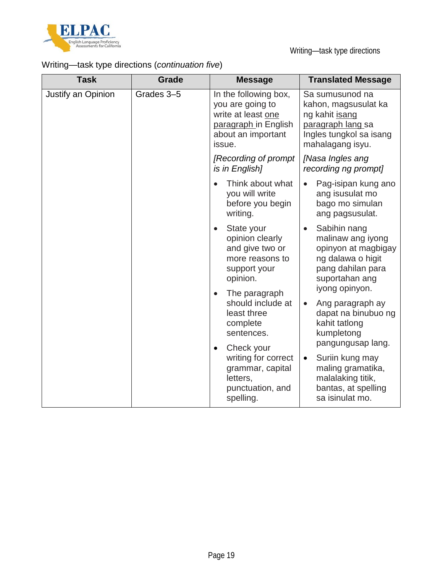

# Writing—task type directions (*continuation five*)

| <b>Task</b>        | Grade      | <b>Message</b>                                                                                                          | <b>Translated Message</b>                                                                                                                                                                                       |
|--------------------|------------|-------------------------------------------------------------------------------------------------------------------------|-----------------------------------------------------------------------------------------------------------------------------------------------------------------------------------------------------------------|
| Justify an Opinion | Grades 3-5 | In the following box,<br>you are going to<br>write at least one<br>paragraph in English<br>about an important<br>issue. | Sa sumusunod na<br>kahon, magsusulat ka<br>ng kahit isang<br>paragraph lang sa<br>Ingles tungkol sa isang<br>mahalagang isyu.                                                                                   |
|                    |            | [Recording of prompt]<br>is in English]                                                                                 | [Nasa Ingles ang<br>recording ng prompt]                                                                                                                                                                        |
|                    |            | Think about what<br>you will write<br>before you begin<br>writing.                                                      | Pag-isipan kung ano<br>ang isusulat mo<br>bago mo simulan<br>ang pagsusulat.                                                                                                                                    |
|                    |            | State your<br>opinion clearly<br>and give two or<br>more reasons to<br>support your<br>opinion.                         | Sabihin nang<br>malinaw ang iyong<br>opinyon at magbigay<br>ng dalawa o higit<br>pang dahilan para<br>suportahan ang<br>iyong opinyon.                                                                          |
|                    |            | The paragraph<br>$\bullet$<br>should include at<br>least three<br>complete<br>sentences.                                | Ang paragraph ay<br>dapat na binubuo ng<br>kahit tatlong<br>kumpletong<br>pangungusap lang.<br>Suriin kung may<br>$\bullet$<br>maling gramatika,<br>malalaking titik,<br>bantas, at spelling<br>sa isinulat mo. |
|                    |            | Check your<br>$\bullet$<br>writing for correct<br>grammar, capital<br>letters,<br>punctuation, and<br>spelling.         |                                                                                                                                                                                                                 |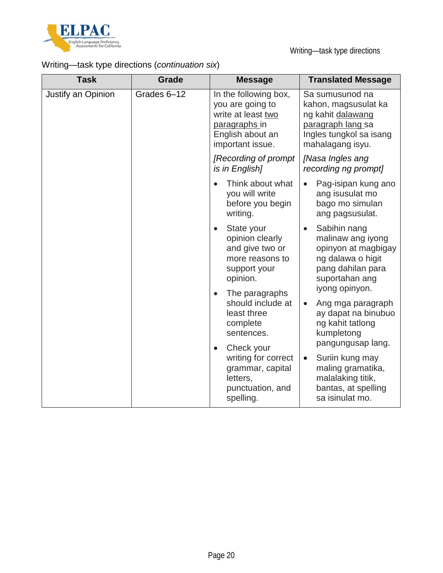

Writing—task type directions

# Writing—task type directions (*continuation six*)

| <b>Task</b>                                                                                                              | <b>Grade</b>      | <b>Message</b>                                                                                                           | <b>Translated Message</b>                                                                                                              |
|--------------------------------------------------------------------------------------------------------------------------|-------------------|--------------------------------------------------------------------------------------------------------------------------|----------------------------------------------------------------------------------------------------------------------------------------|
| Justify an Opinion                                                                                                       | Grades 6-12       | In the following box,<br>you are going to<br>write at least two<br>paragraphs in<br>English about an<br>important issue. | Sa sumusunod na<br>kahon, magsusulat ka<br>ng kahit dalawang<br>paragraph lang sa<br>Ingles tungkol sa isang<br>mahalagang isyu.       |
|                                                                                                                          |                   | [Recording of prompt]<br>is in English]                                                                                  | [Nasa Ingles ang<br>recording ng prompt]                                                                                               |
|                                                                                                                          |                   | Think about what<br>you will write<br>before you begin<br>writing.                                                       | Pag-isipan kung ano<br>ang isusulat mo<br>bago mo simulan<br>ang pagsusulat.                                                           |
|                                                                                                                          |                   | State your<br>$\bullet$<br>opinion clearly<br>and give two or<br>more reasons to<br>support your<br>opinion.             | Sabihin nang<br>malinaw ang iyong<br>opinyon at magbigay<br>ng dalawa o higit<br>pang dahilan para<br>suportahan ang<br>iyong opinyon. |
| The paragraphs<br>$\bullet$<br>least three<br>complete<br>sentences.<br>Check your<br>$\bullet$<br>letters,<br>spelling. | should include at | Ang mga paragraph<br>$\bullet$<br>ay dapat na binubuo<br>ng kahit tatlong<br>kumpletong<br>pangungusap lang.             |                                                                                                                                        |
|                                                                                                                          |                   | writing for correct<br>grammar, capital<br>punctuation, and                                                              | Suriin kung may<br>$\bullet$<br>maling gramatika,<br>malalaking titik,<br>bantas, at spelling<br>sa isinulat mo.                       |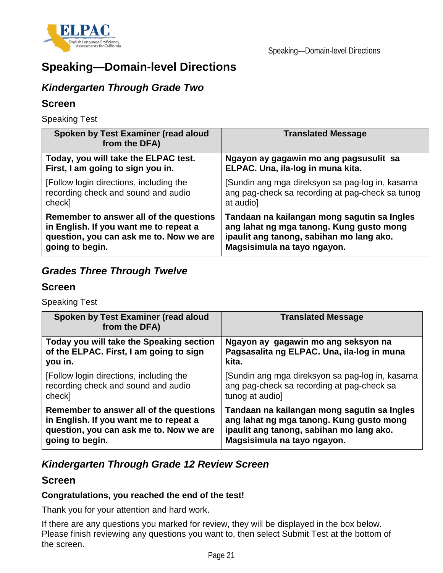

# **Speaking—Domain-level Directions**

### *Kindergarten Through Grade Two*

### **Screen**

Speaking Test

| Spoken by Test Examiner (read aloud<br>from the DFA) | <b>Translated Message</b>                        |
|------------------------------------------------------|--------------------------------------------------|
| Today, you will take the ELPAC test.                 | Ngayon ay gagawin mo ang pagsusulit sa           |
| First, I am going to sign you in.                    | ELPAC. Una, ila-log in muna kita.                |
| [Follow login directions, including the              | [Sundin ang mga direksyon sa pag-log in, kasama  |
| recording check and sound and audio                  | ang pag-check sa recording at pag-check sa tunog |
| check]                                               | at audio]                                        |
| Remember to answer all of the questions              | Tandaan na kailangan mong sagutin sa Ingles      |
| in English. If you want me to repeat a               | ang lahat ng mga tanong. Kung gusto mong         |
| question, you can ask me to. Now we are              | ipaulit ang tanong, sabihan mo lang ako.         |
| going to begin.                                      | Magsisimula na tayo ngayon.                      |

### *Grades Three Through Twelve*

### **Screen**

Speaking Test

| Spoken by Test Examiner (read aloud<br>from the DFA) | <b>Translated Message</b>                       |
|------------------------------------------------------|-------------------------------------------------|
| Today you will take the Speaking section             | Ngayon ay gagawin mo ang seksyon na             |
| of the ELPAC. First, I am going to sign              | Pagsasalita ng ELPAC. Una, ila-log in muna      |
| you in.                                              | kita.                                           |
| [Follow login directions, including the              | [Sundin ang mga direksyon sa pag-log in, kasama |
| recording check and sound and audio                  | ang pag-check sa recording at pag-check sa      |
| check]                                               | tunog at audio]                                 |
| Remember to answer all of the questions              | Tandaan na kailangan mong sagutin sa Ingles     |
| in English. If you want me to repeat a               | ang lahat ng mga tanong. Kung gusto mong        |
| question, you can ask me to. Now we are              | ipaulit ang tanong, sabihan mo lang ako.        |
| going to begin.                                      | Magsisimula na tayo ngayon.                     |

### *Kindergarten Through Grade 12 Review Screen*

### **Screen**

#### **Congratulations, you reached the end of the test!**

Thank you for your attention and hard work.

If there are any questions you marked for review, they will be displayed in the box below. Please finish reviewing any questions you want to, then select Submit Test at the bottom of the screen.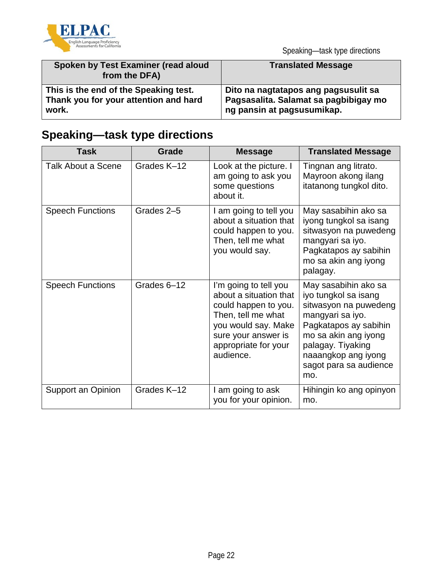

| Spoken by Test Examiner (read aloud<br>from the DFA) | <b>Translated Message</b>             |
|------------------------------------------------------|---------------------------------------|
| This is the end of the Speaking test.                | Dito na nagtatapos ang pagsusulit sa  |
| Thank you for your attention and hard                | Pagsasalita. Salamat sa pagbibigay mo |
| work.                                                | ng pansin at pagsusumikap.            |

# **Speaking—task type directions**

| <b>Task</b>               | Grade       | <b>Message</b>                                                                                                                                                                   | <b>Translated Message</b>                                                                                                                                                                                               |
|---------------------------|-------------|----------------------------------------------------------------------------------------------------------------------------------------------------------------------------------|-------------------------------------------------------------------------------------------------------------------------------------------------------------------------------------------------------------------------|
| <b>Talk About a Scene</b> | Grades K-12 | Look at the picture. I<br>am going to ask you<br>some questions<br>about it.                                                                                                     | Tingnan ang litrato.<br>Mayroon akong ilang<br>itatanong tungkol dito.                                                                                                                                                  |
| <b>Speech Functions</b>   | Grades 2-5  | I am going to tell you<br>about a situation that<br>could happen to you.<br>Then, tell me what<br>you would say.                                                                 | May sasabihin ako sa<br>iyong tungkol sa isang<br>sitwasyon na puwedeng<br>mangyari sa iyo.<br>Pagkatapos ay sabihin<br>mo sa akin ang iyong<br>palagay.                                                                |
| <b>Speech Functions</b>   | Grades 6-12 | I'm going to tell you<br>about a situation that<br>could happen to you.<br>Then, tell me what<br>you would say. Make<br>sure your answer is<br>appropriate for your<br>audience. | May sasabihin ako sa<br>iyo tungkol sa isang<br>sitwasyon na puwedeng<br>mangyari sa iyo.<br>Pagkatapos ay sabihin<br>mo sa akin ang iyong<br>palagay. Tiyaking<br>naaangkop ang iyong<br>sagot para sa audience<br>mo. |
| Support an Opinion        | Grades K-12 | am going to ask<br>you for your opinion.                                                                                                                                         | Hihingin ko ang opinyon<br>mo.                                                                                                                                                                                          |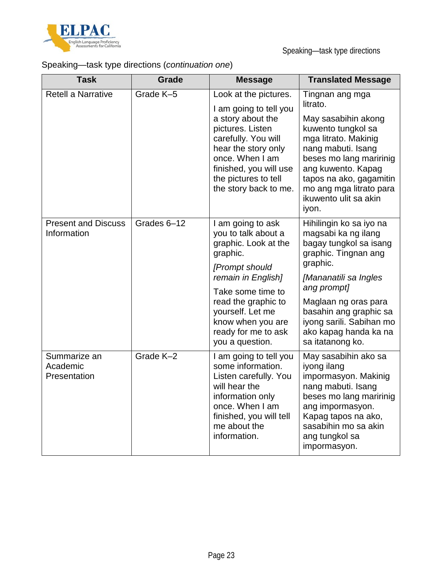

# Speaking—task type directions (*continuation one*)

| <b>Task</b>                               | Grade       | <b>Message</b>                                                                                                                                                                                                                                      | <b>Translated Message</b>                                                                                                                                                                                                                                                       |
|-------------------------------------------|-------------|-----------------------------------------------------------------------------------------------------------------------------------------------------------------------------------------------------------------------------------------------------|---------------------------------------------------------------------------------------------------------------------------------------------------------------------------------------------------------------------------------------------------------------------------------|
| <b>Retell a Narrative</b>                 | Grade K-5   | Look at the pictures.<br>I am going to tell you<br>a story about the<br>pictures. Listen<br>carefully. You will<br>hear the story only<br>once. When I am<br>finished, you will use<br>the pictures to tell<br>the story back to me.                | Tingnan ang mga<br>litrato.<br>May sasabihin akong<br>kuwento tungkol sa<br>mga litrato. Makinig<br>nang mabuti. Isang<br>beses mo lang maririnig<br>ang kuwento. Kapag<br>tapos na ako, gagamitin<br>mo ang mga litrato para<br>ikuwento ulit sa akin<br>iyon.                 |
| <b>Present and Discuss</b><br>Information | Grades 6-12 | I am going to ask<br>you to talk about a<br>graphic. Look at the<br>graphic.<br>[Prompt should<br>remain in English]<br>Take some time to<br>read the graphic to<br>yourself. Let me<br>know when you are<br>ready for me to ask<br>you a question. | Hihilingin ko sa iyo na<br>magsabi ka ng ilang<br>bagay tungkol sa isang<br>graphic. Tingnan ang<br>graphic.<br>[Mananatili sa Ingles<br>ang prompt]<br>Maglaan ng oras para<br>basahin ang graphic sa<br>iyong sarili. Sabihan mo<br>ako kapag handa ka na<br>sa itatanong ko. |
| Summarize an<br>Academic<br>Presentation  | Grade K-2   | I am going to tell you<br>some information.<br>Listen carefully. You<br>will hear the<br>information only<br>once. When I am<br>finished, you will tell<br>me about the<br>information.                                                             | May sasabihin ako sa<br>iyong ilang<br>impormasyon. Makinig<br>nang mabuti. Isang<br>beses mo lang maririnig<br>ang impormasyon.<br>Kapag tapos na ako,<br>sasabihin mo sa akin<br>ang tungkol sa<br>impormasyon.                                                               |